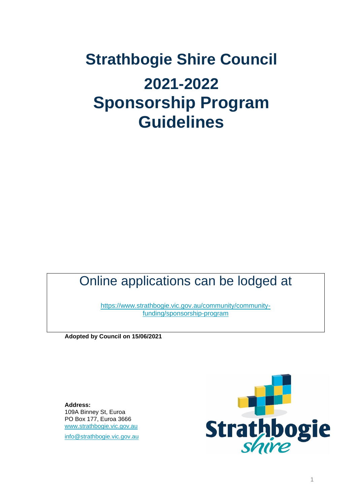# **Strathbogie Shire Council 2021-2022 Sponsorship Program Guidelines**

# Online applications can be lodged at

[https://www.strathbogie.vic.gov.au/community/community](https://www.strathbogie.vic.gov.au/community/community-funding/sponsorship-program)[funding/sponsorship-program](https://www.strathbogie.vic.gov.au/community/community-funding/sponsorship-program)

**Adopted by Council on 15/06/2021**

**Address:** 109A Binney St, Euroa PO Box 177, Euroa 3666 [www.strathbogie.vic.gov.au](http://www.strathbogie.vic.gov.au/)

[info@strathbogie.vic.gov.au](mailto:info@strathbogie.vic.gov.au)

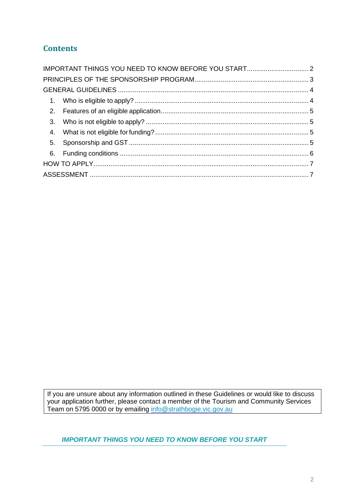# **Contents**

If you are unsure about any information outlined in these Guidelines or would like to discuss your application further, please contact a member of the Tourism and Community Services Team on 5795 0000 or by emailing [info@strathbogie.vic.gov.au](mailto:info@strathbogie.vic.gov.au)

<span id="page-1-0"></span>*IMPORTANT THINGS YOU NEED TO KNOW BEFORE YOU START*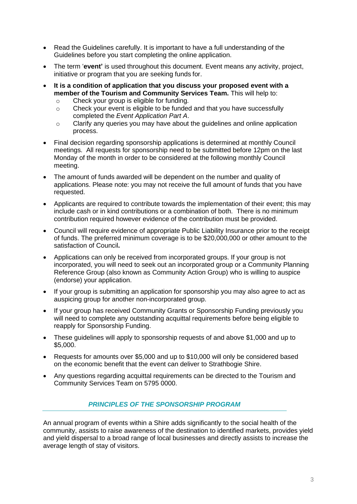- Read the Guidelines carefully. It is important to have a full understanding of the Guidelines before you start completing the online application.
- The term '**event'** is used throughout this document. Event means any activity, project, initiative or program that you are seeking funds for.
- **It is a condition of application that you discuss your proposed event with a member of the Tourism and Community Services Team.** This will help to:
	- o Check your group is eligible for funding.
	- o Check your event is eligible to be funded and that you have successfully completed the *Event Application Part A*.
	- o Clarify any queries you may have about the guidelines and online application process.
- Final decision regarding sponsorship applications is determined at monthly Council meetings. All requests for sponsorship need to be submitted before 12pm on the last Monday of the month in order to be considered at the following monthly Council meeting.
- The amount of funds awarded will be dependent on the number and quality of applications. Please note: you may not receive the full amount of funds that you have requested.
- Applicants are required to contribute towards the implementation of their event; this may include cash or in kind contributions or a combination of both. There is no minimum contribution required however evidence of the contribution must be provided.
- Council will require evidence of appropriate Public Liability Insurance prior to the receipt of funds. The preferred minimum coverage is to be \$20,000,000 or other amount to the satisfaction of Council**.**
- Applications can only be received from incorporated groups. If your group is not incorporated, you will need to seek out an incorporated group or a Community Planning Reference Group (also known as Community Action Group) who is willing to auspice (endorse) your application.
- If your group is submitting an application for sponsorship you may also agree to act as auspicing group for another non-incorporated group.
- If your group has received Community Grants or Sponsorship Funding previously you will need to complete any outstanding acquittal requirements before being eligible to reapply for Sponsorship Funding.
- These guidelines will apply to sponsorship requests of and above \$1,000 and up to \$5,000.
- Requests for amounts over \$5,000 and up to \$10,000 will only be considered based on the economic benefit that the event can deliver to Strathbogie Shire.
- <span id="page-2-0"></span>• Any questions regarding acquittal requirements can be directed to the Tourism and Community Services Team on 5795 0000.

#### *PRINCIPLES OF THE SPONSORSHIP PROGRAM*

An annual program of events within a Shire adds significantly to the social health of the community, assists to raise awareness of the destination to identified markets, provides yield and yield dispersal to a broad range of local businesses and directly assists to increase the average length of stay of visitors.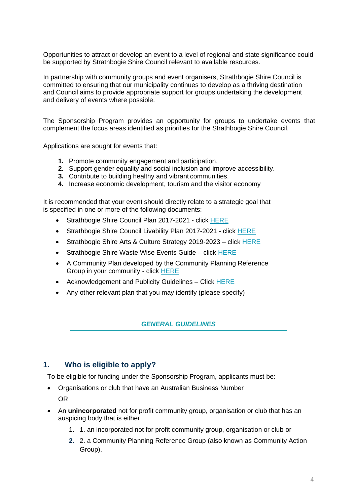Opportunities to attract or develop an event to a level of regional and state significance could be supported by Strathbogie Shire Council relevant to available resources.

In partnership with community groups and event organisers. Strathbogie Shire Council is committed to ensuring that our municipality continues to develop as a thriving destination and Council aims to provide appropriate support for groups undertaking the development and delivery of events where possible.

The Sponsorship Program provides an opportunity for groups to undertake events that complement the focus areas identified as priorities for the Strathbogie Shire Council.

Applications are sought for events that:

- **1.** Promote community engagement and participation.
- **2.** Support gender equality and social inclusion and improve accessibility.
- **3.** Contribute to building healthy and vibrant communities.
- **4.** Increase economic development, tourism and the visitor economy

It is recommended that your event should directly relate to a strategic goal that is specified in one or more of the following documents:

- Strathbogie Shire Council Plan 2017-2021 click [HERE](http://www.strathbogie.vic.gov.au/images/Plans_policies_Strategies_reports/2017-2021%20SS%20Council%20Plan_%20Adopted.pdf)
- Strathbogie Shire Council Livability Plan 2017-2021 click [HERE](http://www.strathbogie.vic.gov.au/images/Documents/Liveability_Plan_A4_Booklet_LR_web.pdf)
- Strathbogie Shire Arts & Culture Strategy 2019-2023 click [HERE](https://www.strathbogie.vic.gov.au/images/Plans_policies_Strategies_reports/2019%20-%202023%20Arts%20%20Culture%20Strategy.pdf)
- Strathbogie Shire Waste Wise Events Guide click [HERE](https://www.strathbogie.vic.gov.au/images/Events/SS%20WW%20Event%20R9.pdf)
- A Community Plan developed by the Community Planning Reference Group in your community - click [HERE](http://www.strathbogie.vic.gov.au/community/community-funding/community-planning-program)
- Acknowledgement and Publicity Guidelines Click [HERE](https://www.strathbogie.vic.gov.au/images/M_images/Guidelines-Acknowledgement-and-Publicity.pdf)
- <span id="page-3-0"></span>• Any other relevant plan that you may identify (please specify)

#### *GENERAL GUIDELINES*

#### <span id="page-3-1"></span>**1. Who is eligible to apply?**

To be eligible for funding under the Sponsorship Program, applicants must be:

- Organisations or club that have an Australian Business Number OR
- <span id="page-3-2"></span>• An **unincorporated** not for profit community group, organisation or club that has an auspicing body that is either
	- 1. 1. an incorporated not for profit community group, organisation or club or
	- **2.** 2. a Community Planning Reference Group (also known as Community Action Group).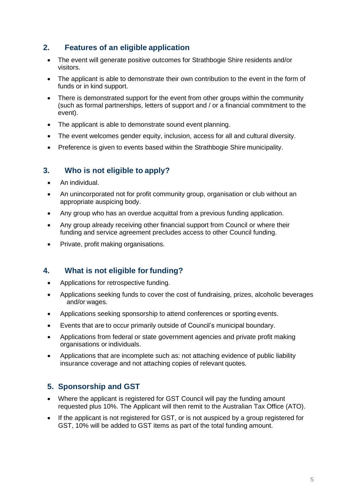### **2. Features of an eligible application**

- The event will generate positive outcomes for Strathbogie Shire residents and/or visitors.
- The applicant is able to demonstrate their own contribution to the event in the form of funds or in kind support.
- There is demonstrated support for the event from other groups within the community (such as formal partnerships, letters of support and / or a financial commitment to the event).
- The applicant is able to demonstrate sound event planning.
- The event welcomes gender equity, inclusion, access for all and cultural diversity.
- Preference is given to events based within the Strathbogie Shire municipality.

### <span id="page-4-0"></span>**3. Who is not eligible to apply?**

- An individual.
- An unincorporated not for profit community group, organisation or club without an appropriate auspicing body.
- Any group who has an overdue acquittal from a previous funding application.
- Any group already receiving other financial support from Council or where their funding and service agreement precludes access to other Council funding.
- Private, profit making organisations.

### <span id="page-4-1"></span>**4. What is not eligible for funding?**

- Applications for retrospective funding.
- Applications seeking funds to cover the cost of fundraising, prizes, alcoholic beverages and/or wages.
- Applications seeking sponsorship to attend conferences or sporting events.
- Events that are to occur primarily outside of Council's municipal boundary.
- Applications from federal or state government agencies and private profit making organisations or individuals.
- Applications that are incomplete such as: not attaching evidence of public liability insurance coverage and not attaching copies of relevant quotes.

### <span id="page-4-2"></span>**5. Sponsorship and GST**

- Where the applicant is registered for GST Council will pay the funding amount requested plus 10%. The Applicant will then remit to the Australian Tax Office (ATO).
- <span id="page-4-3"></span>If the applicant is not registered for GST, or is not auspiced by a group registered for GST, 10% will be added to GST items as part of the total funding amount.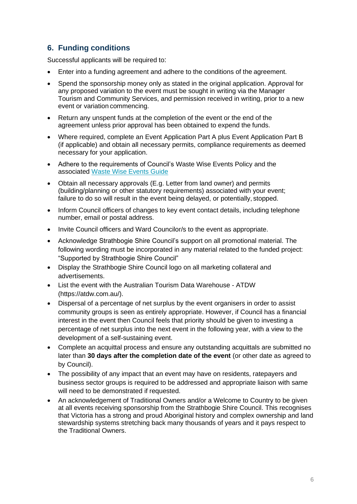## **6. Funding conditions**

Successful applicants will be required to:

- Enter into a funding agreement and adhere to the conditions of the agreement.
- Spend the sponsorship money only as stated in the original application. Approval for any proposed variation to the event must be sought in writing via the Manager Tourism and Community Services, and permission received in writing, prior to a new event or variation commencing.
- Return any unspent funds at the completion of the event or the end of the agreement unless prior approval has been obtained to expend the funds.
- Where required, complete an Event Application Part A plus Event Application Part B (if applicable) and obtain all necessary permits, compliance requirements as deemed necessary for your application.
- Adhere to the requirements of Council's Waste Wise Events Policy and the associated [Waste Wise Events Guide](https://www.strathbogie.vic.gov.au/images/Events/SS%20WW%20Event%20R9.pdf)
- Obtain all necessary approvals (E.g. Letter from land owner) and permits (building/planning or other statutory requirements) associated with your event; failure to do so will result in the event being delayed, or potentially, stopped.
- Inform Council officers of changes to key event contact details, including telephone number, email or postal address.
- Invite Council officers and Ward Councilor/s to the event as appropriate.
- Acknowledge Strathbogie Shire Council's support on all promotional material. The following wording must be incorporated in any material related to the funded project: "Supported by Strathbogie Shire Council"
- Display the Strathbogie Shire Council logo on all marketing collateral and advertisements.
- List the event with the Australian Tourism Data Warehouse ATDW (https://atdw.com.au/).
- Dispersal of a percentage of net surplus by the event organisers in order to assist community groups is seen as entirely appropriate. However, if Council has a financial interest in the event then Council feels that priority should be given to investing a percentage of net surplus into the next event in the following year, with a view to the development of a self-sustaining event.
- Complete an acquittal process and ensure any outstanding acquittals are submitted no later than **30 days after the completion date of the event** (or other date as agreed to by Council).
- The possibility of any impact that an event may have on residents, ratepayers and business sector groups is required to be addressed and appropriate liaison with same will need to be demonstrated if requested.
- An acknowledgement of Traditional Owners and/or a Welcome to Country to be given at all events receiving sponsorship from the Strathbogie Shire Council. This recognises that Victoria has a strong and proud Aboriginal history and complex ownership and land stewardship systems stretching back many thousands of years and it pays respect to the Traditional Owners.